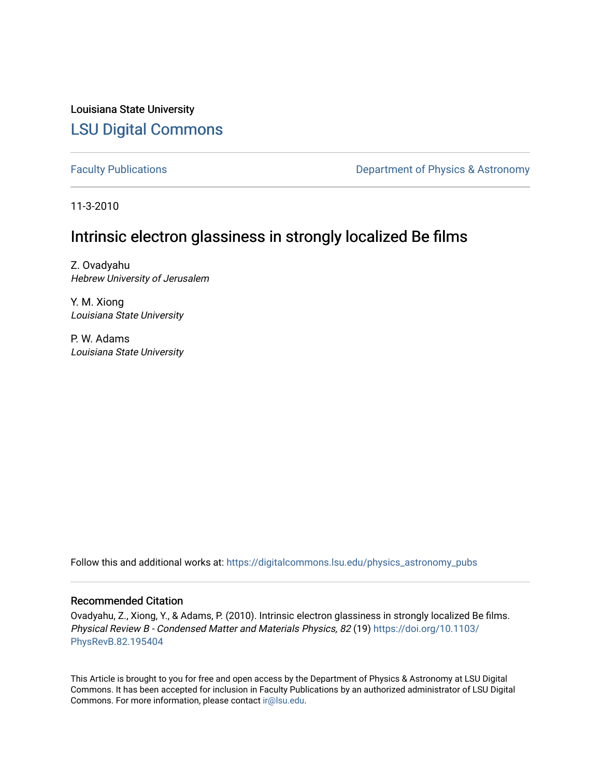Louisiana State University [LSU Digital Commons](https://digitalcommons.lsu.edu/)

[Faculty Publications](https://digitalcommons.lsu.edu/physics_astronomy_pubs) **Exercise 2** Constant Department of Physics & Astronomy

11-3-2010

# Intrinsic electron glassiness in strongly localized Be films

Z. Ovadyahu Hebrew University of Jerusalem

Y. M. Xiong Louisiana State University

P. W. Adams Louisiana State University

Follow this and additional works at: [https://digitalcommons.lsu.edu/physics\\_astronomy\\_pubs](https://digitalcommons.lsu.edu/physics_astronomy_pubs?utm_source=digitalcommons.lsu.edu%2Fphysics_astronomy_pubs%2F85&utm_medium=PDF&utm_campaign=PDFCoverPages) 

# Recommended Citation

Ovadyahu, Z., Xiong, Y., & Adams, P. (2010). Intrinsic electron glassiness in strongly localized Be films. Physical Review B - Condensed Matter and Materials Physics, 82 (19) [https://doi.org/10.1103/](https://doi.org/10.1103/PhysRevB.82.195404) [PhysRevB.82.195404](https://doi.org/10.1103/PhysRevB.82.195404)

This Article is brought to you for free and open access by the Department of Physics & Astronomy at LSU Digital Commons. It has been accepted for inclusion in Faculty Publications by an authorized administrator of LSU Digital Commons. For more information, please contact [ir@lsu.edu](mailto:ir@lsu.edu).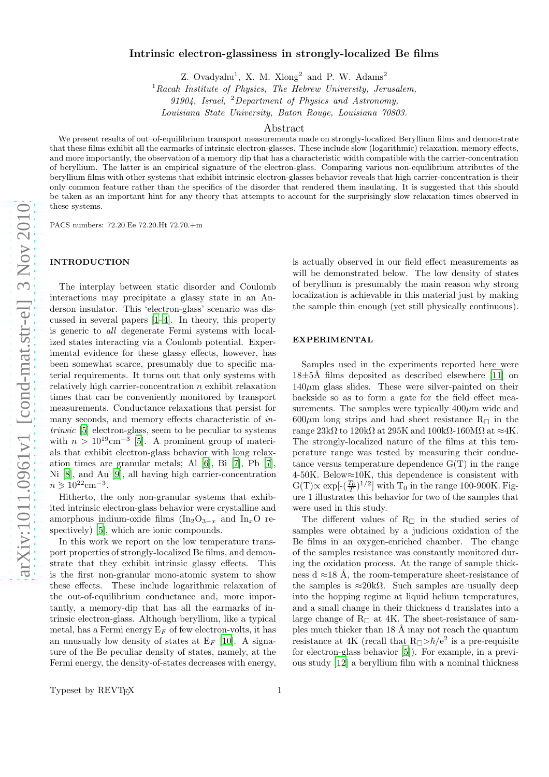## Intrinsic electron-glassiness in strongly-localized Be films

Z. Ovadyahu<sup>1</sup>, X. M. Xiong<sup>2</sup> and P. W. Adams<sup>2</sup>

 ${}^{1}$ Racah Institute of Physics, The Hebrew University, Jerusalem,

91904, Israel, <sup>2</sup>Department of Physics and Astronomy,

Louisiana State University, Baton Rouge, Louisiana 70803.

#### Abstract

We present results of out–of-equilibrium transport measurements made on strongly-localized Beryllium films and demonstrate that these films exhibit all the earmarks of intrinsic electron-glasses. These include slow (logarithmic) relaxation, memory effects, and more importantly, the observation of a memory dip that has a characteristic width compatible with the carrier-concentration of beryllium. The latter is an empirical signature of the electron-glass. Comparing various non-equilibrium attributes of the beryllium films with other systems that exhibit intrinsic electron-glasses behavior reveals that high carrier-concentration is their only common feature rather than the specifics of the disorder that rendered them insulating. It is suggested that this should be taken as an important hint for any theory that attempts to account for the surprisingly slow relaxation times observed in these systems.

PACS numbers: 72.20.Ee 72.20.Ht 72.70.+m

## INTRODUCTION

The interplay between static disorder and Coulomb interactions may precipitate a glassy state in an Anderson insulator. This 'electron-glass' scenario was discussed in several papers [\[1](#page-5-0)[–4](#page-5-1)]. In theory, this property is generic to all degenerate Fermi systems with localized states interacting via a Coulomb potential. Experimental evidence for these glassy effects, however, has been somewhat scarce, presumably due to specific material requirements. It turns out that only systems with relatively high carrier-concentration n exhibit relaxation times that can be conveniently monitored by transport measurements. Conductance relaxations that persist for many seconds, and memory effects characteristic of intrinsic [\[5\]](#page-5-2) electron-glass, seem to be peculiar to systems with  $n > 10^{19}$ cm<sup>-3</sup> [\[5](#page-5-2)]. A prominent group of materials that exhibit electron-glass behavior with long relaxation times are granular metals; Al [\[6](#page-5-3)], Bi [\[7\]](#page-5-4), Pb [\[7\]](#page-5-4), Ni [\[8\]](#page-5-5), and Au [\[9\]](#page-5-6), all having high carrier-concentration  $n > 10^{22}$ cm<sup>-3</sup>.

Hitherto, the only non-granular systems that exhibited intrinsic electron-glass behavior were crystalline and amorphous indium-oxide films  $(In_2O_{3-x}$  and  $In_xO$  re-spectively) [\[5\]](#page-5-2), which are ionic compounds.

In this work we report on the low temperature transport properties of strongly-localized Be films, and demonstrate that they exhibit intrinsic glassy effects. This is the first non-granular mono-atomic system to show these effects. These include logarithmic relaxation of the out-of-equilibrium conductance and, more importantly, a memory-dip that has all the earmarks of intrinsic electron-glass. Although beryllium, like a typical metal, has a Fermi energy  $E_F$  of few electron-volts, it has an unusually low density of states at  $E_F$  [\[10\]](#page-5-7). A signature of the Be peculiar density of states, namely, at the Fermi energy, the density-of-states decreases with energy,

is actually observed in our field effect measurements as will be demonstrated below. The low density of states of beryllium is presumably the main reason why strong localization is achievable in this material just by making the sample thin enough (yet still physically continuous).

#### EXPERIMENTAL

Samples used in the experiments reported here were  $18\pm5\text{\AA}$  films deposited as described elsewhere [\[11\]](#page-5-8) on  $140\mu$ m glass slides. These were silver-painted on their backside so as to form a gate for the field effect measurements. The samples were typically  $400 \mu m$  wide and  $600\mu m$  long strips and had sheet resistance R<sub> $\Box$ </sub> in the range  $23k\Omega$  to  $120k\Omega$  at  $295K$  and  $100k\Omega$ -160M $\Omega$  at  $\approx$ 4K. The strongly-localized nature of the films at this temperature range was tested by measuring their conductance versus temperature dependence  $G(T)$  in the range 4-50K. Below≈10K, this dependence is consistent with  $G(T)\propto \exp[-(\frac{T_0}{T})^{1/2}]$  with  $T_0$  in the range 100-900K. Figure 1 illustrates this behavior for two of the samples that were used in this study.

The different values of  $R_{\Box}$  in the studied series of samples were obtained by a judicious oxidation of the Be films in an oxygen-enriched chamber. The change of the samples resistance was constantly monitored during the oxidation process. At the range of sample thickness d ≈18 Å, the room-temperature sheet-resistance of the samples is  $\approx 20k\Omega$ . Such samples are usually deep into the hopping regime at liquid helium temperatures, and a small change in their thickness d translates into a large change of  $R<sub>\square</sub>$  at 4K. The sheet-resistance of samples much thicker than  $18 \text{ Å}$  may not reach the quantum resistance at 4K (recall that  $R_{\Box} > \hbar/e^2$  is a pre-requisite for electron-glass behavior [\[5\]](#page-5-2)). For example, in a previous study [\[12\]](#page-5-9) a beryllium film with a nominal thickness

Typeset by REVT<sub>F</sub>X 1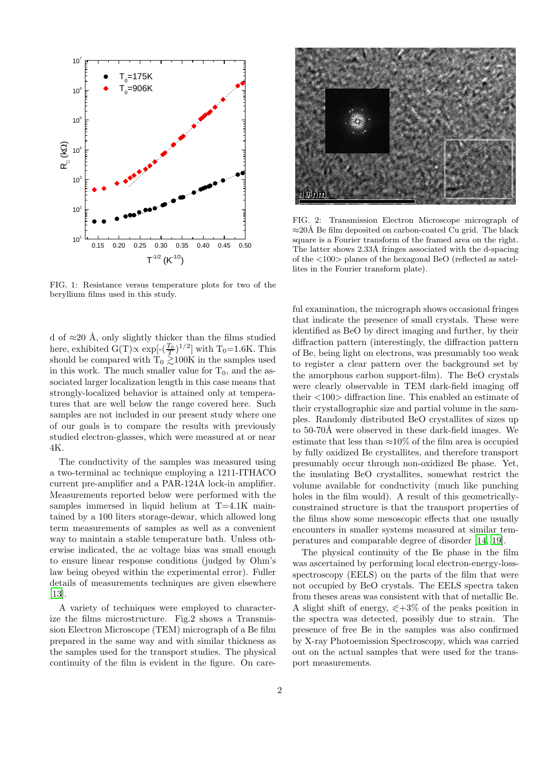

FIG. 1: Resistance versus temperature plots for two of the beryllium films used in this study.

d of  $\approx$ 20 Å, only slightly thicker than the films studied here, exhibited  $G(T) \propto \exp[-(\frac{T_0}{T})^{1/2}]$  with T<sub>0</sub>=1.6K. This should be compared with  $T_0 \gtrsim 100K$  in the samples used in this work. The much smaller value for  $T_0$ , and the associated larger localization length in this case means that strongly-localized behavior is attained only at temperatures that are well below the range covered here. Such samples are not included in our present study where one of our goals is to compare the results with previously studied electron-glasses, which were measured at or near 4K.

The conductivity of the samples was measured using a two-terminal ac technique employing a 1211-ITHACO current pre-amplifier and a PAR-124A lock-in amplifier. Measurements reported below were performed with the samples immersed in liquid helium at T=4.1K maintained by a 100 liters storage-dewar, which allowed long term measurements of samples as well as a convenient way to maintain a stable temperature bath. Unless otherwise indicated, the ac voltage bias was small enough to ensure linear response conditions (judged by Ohm's law being obeyed within the experimental error). Fuller details of measurements techniques are given elsewhere [\[13\]](#page-5-10).

A variety of techniques were employed to characterize the films microstructure. Fig.2 shows a Transmission Electron Microscope (TEM) micrograph of a Be film prepared in the same way and with similar thickness as the samples used for the transport studies. The physical continuity of the film is evident in the figure. On care-



FIG. 2: Transmission Electron Microscope micrograph of ≈20Å Be film deposited on carbon-coated Cu grid. The black square is a Fourier transform of the framed area on the right. The latter shows 2.33Å fringes associated with the d-spacing of the <100> planes of the hexagonal BeO (reflected as satellites in the Fourier transform plate).

ful examination, the micrograph shows occasional fringes that indicate the presence of small crystals. These were identified as BeO by direct imaging and further, by their diffraction pattern (interestingly, the diffraction pattern of Be, being light on electrons, was presumably too weak to register a clear pattern over the background set by the amorphous carbon support-film). The BeO crystals were clearly observable in TEM dark-field imaging off their <100> diffraction line. This enabled an estimate of their crystallographic size and partial volume in the samples. Randomly distributed BeO crystallites of sizes up to 50-70Å were observed in these dark-field images. We estimate that less than  $\approx 10\%$  of the film area is occupied by fully oxidized Be crystallites, and therefore transport presumably occur through non-oxidized Be phase. Yet, the insulating BeO crystallites, somewhat restrict the volume available for conductivity (much like punching holes in the film would). A result of this geometricallyconstrained structure is that the transport properties of the films show some mesoscopic effects that one usually encounters in smaller systems measured at similar temperatures and comparable degree of disorder [\[14](#page-5-11), [19](#page-5-12)].

The physical continuity of the Be phase in the film was ascertained by performing local electron-energy-lossspectroscopy (EELS) on the parts of the film that were not occupied by BeO crystals. The EELS spectra taken from theses areas was consistent with that of metallic Be. A slight shift of energy,  $\leq +3\%$  of the peaks position in the spectra was detected, possibly due to strain. The presence of free Be in the samples was also confirmed by X-ray Photoemission Spectroscopy, which was carried out on the actual samples that were used for the transport measurements.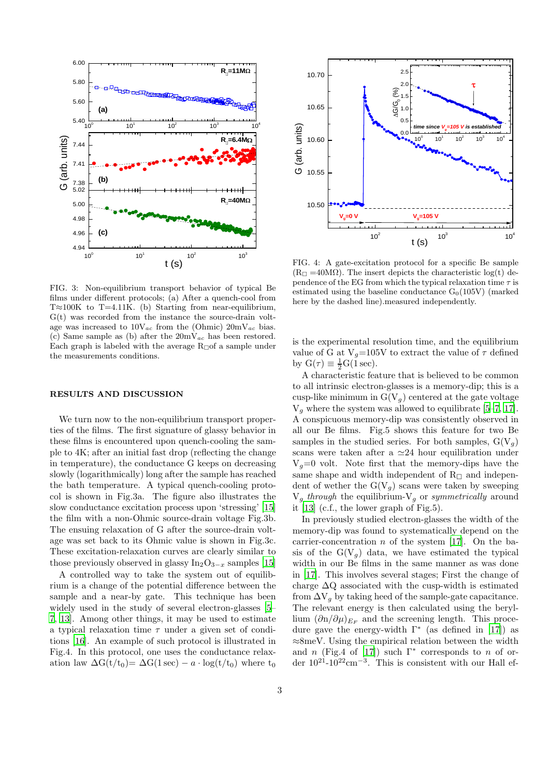

FIG. 3: Non-equilibrium transport behavior of typical Be films under different protocols; (a) After a quench-cool from T≈100K to T=4.11K. (b) Starting from near-equilibrium, G(t) was recorded from the instance the source-drain voltage was increased to  $10V_{ac}$  from the (Ohmic)  $20mV_{ac}$  bias. (c) Same sample as (b) after the  $20mV_{ac}$  has been restored. Each graph is labeled with the average  $R_{\Box}$  a sample under the measurements conditions.

#### RESULTS AND DISCUSSION

We turn now to the non-equilibrium transport properties of the films. The first signature of glassy behavior in these films is encountered upon quench-cooling the sample to 4K; after an initial fast drop (reflecting the change in temperature), the conductance G keeps on decreasing slowly (logarithmically) long after the sample has reached the bath temperature. A typical quench-cooling protocol is shown in Fig.3a. The figure also illustrates the slow conductance excitation process upon 'stressing' [\[15](#page-5-13)] the film with a non-Ohmic source-drain voltage Fig.3b. The ensuing relaxation of G after the source-drain voltage was set back to its Ohmic value is shown in Fig.3c. These excitation-relaxation curves are clearly similar to those previously observed in glassy  $In_2O_{3-x}$  samples [\[15](#page-5-13)]

A controlled way to take the system out of equilibrium is a change of the potential difference between the sample and a near-by gate. This technique has been widely used in the study of several electron-glasses [\[5](#page-5-2)– [7](#page-5-4), [13](#page-5-10)]. Among other things, it may be used to estimate a typical relaxation time  $\tau$  under a given set of conditions [\[16\]](#page-5-14). An example of such protocol is illustrated in Fig.4. In this protocol, one uses the conductance relaxation law  $\Delta G(t/t_0) = \Delta G(1 \text{ sec}) - a \cdot \log(t/t_0)$  where  $t_0$ 



FIG. 4: A gate-excitation protocol for a specific Be sample  $(R<sub>□</sub>=40MΩ)$ . The insert depicts the characteristic log(t) dependence of the EG from which the typical relaxation time  $\tau$  is estimated using the baseline conductance  $G<sub>0</sub>(105V)$  (marked here by the dashed line).measured independently.

is the experimental resolution time, and the equilibrium value of G at  $V_g=105V$  to extract the value of  $\tau$  defined by  $G(\tau) \equiv \frac{1}{2}G(\angle 1 \text{ sec}).$ 

A characteristic feature that is believed to be common to all intrinsic electron-glasses is a memory-dip; this is a cusp-like minimum in  $G(V_q)$  centered at the gate voltage  $V_q$  where the system was allowed to equilibrate [\[5](#page-5-2)[–7](#page-5-4), [17\]](#page-5-15). A conspicuous memory-dip was consistently observed in all our Be films. Fig.5 shows this feature for two Be samples in the studied series. For both samples,  $G(V_a)$ scans were taken after a  $\simeq 24$  hour equilibration under  $V<sub>g</sub>=0$  volt. Note first that the memory-dips have the same shape and width independent of  $R_{\Box}$  and independent of wether the  $G(V_q)$  scans were taken by sweeping  $V_g$  through the equilibrium- $V_g$  or symmetrically around it [\[13\]](#page-5-10) (c.f., the lower graph of Fig.5).

In previously studied electron-glasses the width of the memory-dip was found to systematically depend on the carrier-concentration  $n$  of the system [\[17\]](#page-5-15). On the basis of the  $G(V_q)$  data, we have estimated the typical width in our Be films in the same manner as was done in [\[17\]](#page-5-15). This involves several stages; First the change of charge  $\Delta Q$  associated with the cusp-width is estimated from  $\Delta V_g$  by taking heed of the sample-gate capacitance. The relevant energy is then calculated using the beryllium  $(\partial n/\partial \mu)_{E_F}$  and the screening length. This procedure gave the energy-width  $\Gamma^*$  (as defined in [\[17\]](#page-5-15)) as ≈8meV. Using the empirical relation between the width and n (Fig.4 of [\[17](#page-5-15)]) such  $\Gamma^*$  corresponds to n of order  $10^{21}$ - $10^{22}$ cm<sup>-3</sup>. This is consistent with our Hall ef-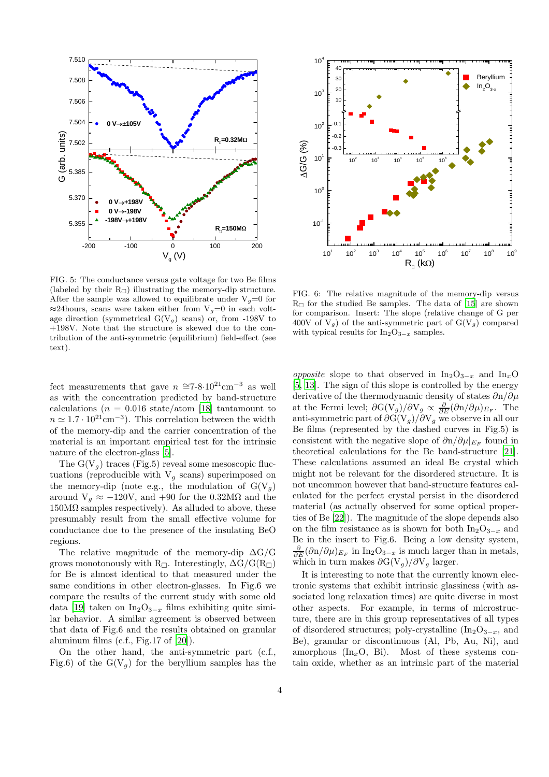

10<sup>1</sup>  $10^{2}$  $10<sup>3</sup>$  $10^{4}$  $10^5$  $10^6$  $10<sup>7</sup>$  $10^8$  $10<sup>9</sup>$ 10-1  $10<sup>0</sup>$ 10<sup>1</sup>  $10^{2}$  $10<sup>3</sup>$  $10<sup>4</sup>$  Beryllium  $In_2O_{3-x}$ G/G (%)  $R_n$  (kΩ)  $10<sup>2</sup>$  $10<sup>3</sup>$  $10<sup>1</sup>$  $10<sup>5</sup>$  $10^6$  $-0.3$ -0.2 -0.1  $10$  $\overline{2}$ 30 40

FIG. 5: The conductance versus gate voltage for two Be films (labeled by their  $R_{\Box}$ ) illustrating the memory-dip structure. After the sample was allowed to equilibrate under  $V_q=0$  for  $\approx$ 24hours, scans were taken either from V<sub>q</sub>=0 in each voltage direction (symmetrical  $G(V_g)$  scans) or, from -198V to +198V. Note that the structure is skewed due to the contribution of the anti-symmetric (equilibrium) field-effect (see text).

fect measurements that gave  $n \approx 7-8.10^{21} \text{cm}^{-3}$  as well as with the concentration predicted by band-structure calculations ( $n = 0.016$  state/atom [\[18\]](#page-5-16) tantamount to  $n \simeq 1.7 \cdot 10^{21} \text{cm}^{-3}$ ). This correlation between the width of the memory-dip and the carrier concentration of the material is an important empirical test for the intrinsic nature of the electron-glass [\[5](#page-5-2)].

The  $G(V_q)$  traces (Fig.5) reveal some mesoscopic fluctuations (reproducible with  $V_g$  scans) superimposed on the memory-dip (note e.g., the modulation of  $G(V_g)$ around  $V_g \approx -120V$ , and  $+90$  for the 0.32M $\Omega$  and the  $150M\Omega$  samples respectively). As alluded to above, these presumably result from the small effective volume for conductance due to the presence of the insulating BeO regions.

The relative magnitude of the memory-dip  $\Delta G/G$ grows monotonously with R $\sqcap$ . Interestingly,  $\Delta G/G(R_{\sqcap})$ for Be is almost identical to that measured under the same conditions in other electron-glasses. In Fig.6 we compare the results of the current study with some old data [\[19](#page-5-12)] taken on In<sub>2</sub>O<sub>3−x</sub> films exhibiting quite similar behavior. A similar agreement is observed between that data of Fig.6 and the results obtained on granular aluminum films (c.f., Fig.17 of [\[20\]](#page-5-17)).

On the other hand, the anti-symmetric part (c.f., Fig.6) of the  $G(V_a)$  for the beryllium samples has the

FIG. 6: The relative magnitude of the memory-dip versus  $R_{\Box}$  for the studied Be samples. The data of [\[15](#page-5-13)] are shown for comparison. Insert: The slope (relative change of G per 400V of  $V_g$ ) of the anti-symmetric part of  $G(V_g)$  compared with typical results for  $In_2O_{3-x}$  samples.

*opposite* slope to that observed in  $In_2O_{3-x}$  and  $In_xO$ [\[5,](#page-5-2) [13\]](#page-5-10). The sign of this slope is controlled by the energy derivative of the thermodynamic density of states  $\partial$ n/∂µ at the Fermi level;  $\partial G(V_g)/\partial V_g \propto \frac{\partial}{\partial E} (\partial n/\partial \mu)_{E_F}$ . The anti-symmetric part of  $\partial G(V_g)/\partial V_g$  we observe in all our Be films (represented by the dashed curves in Fig.5) is consistent with the negative slope of  $\partial n/\partial \mu|_{E_F}$  found in theoretical calculations for the Be band-structure [\[21\]](#page-5-18). These calculations assumed an ideal Be crystal which might not be relevant for the disordered structure. It is not uncommon however that band-structure features calculated for the perfect crystal persist in the disordered material (as actually observed for some optical properties of Be [\[22\]](#page-5-19)). The magnitude of the slope depends also on the film resistance as is shown for both  $In_2O_{3-x}$  and Be in the insert to Fig.6. Being a low density system,  $\frac{\partial}{\partial E}(\partial n/\partial \mu)_{E_F}$  in In<sub>2</sub>O<sub>3-x</sub> is much larger than in metals, which in turn makes  $\partial G(V_g)/\partial V_g$  larger.

It is interesting to note that the currently known electronic systems that exhibit intrinsic glassiness (with associated long relaxation times) are quite diverse in most other aspects. For example, in terms of microstructure, there are in this group representatives of all types of disordered structures; poly-crystalline  $(In_2O_{3-x},$  and Be), granular or discontinuous (Al, Pb, Au, Ni), and amorphous  $(\text{In}_x \text{O}, \text{Bi})$ . Most of these systems contain oxide, whether as an intrinsic part of the material